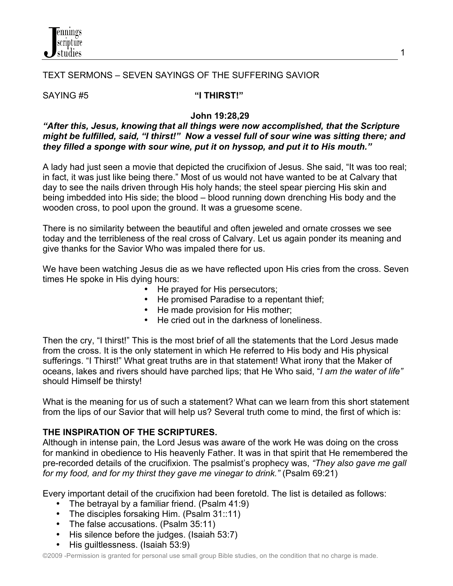

## TEXT SERMONS – SEVEN SAYINGS OF THE SUFFERING SAVIOR

#### SAYING #5 **"I THIRST!"**

#### **John 19:28,29**

## *"After this, Jesus, knowing that all things were now accomplished, that the Scripture might be fulfilled, said, "I thirst!" Now a vessel full of sour wine was sitting there; and they filled a sponge with sour wine, put it on hyssop, and put it to His mouth."*

A lady had just seen a movie that depicted the crucifixion of Jesus. She said, "It was too real; in fact, it was just like being there." Most of us would not have wanted to be at Calvary that day to see the nails driven through His holy hands; the steel spear piercing His skin and being imbedded into His side; the blood – blood running down drenching His body and the wooden cross, to pool upon the ground. It was a gruesome scene.

There is no similarity between the beautiful and often jeweled and ornate crosses we see today and the terribleness of the real cross of Calvary. Let us again ponder its meaning and give thanks for the Savior Who was impaled there for us.

We have been watching Jesus die as we have reflected upon His cries from the cross. Seven times He spoke in His dying hours:

- He prayed for His persecutors;
- He promised Paradise to a repentant thief;
- He made provision for His mother:
- He cried out in the darkness of loneliness.

Then the cry, "I thirst!" This is the most brief of all the statements that the Lord Jesus made from the cross. It is the only statement in which He referred to His body and His physical sufferings. "I Thirst!" What great truths are in that statement! What irony that the Maker of oceans, lakes and rivers should have parched lips; that He Who said, "*I am the water of life"* should Himself be thirsty!

What is the meaning for us of such a statement? What can we learn from this short statement from the lips of our Savior that will help us? Several truth come to mind, the first of which is:

## **THE INSPIRATION OF THE SCRIPTURES.**

Although in intense pain, the Lord Jesus was aware of the work He was doing on the cross for mankind in obedience to His heavenly Father. It was in that spirit that He remembered the pre-recorded details of the crucifixion. The psalmist's prophecy was, *"They also gave me gall for my food, and for my thirst they gave me vinegar to drink."* (Psalm 69:21)

Every important detail of the crucifixion had been foretold. The list is detailed as follows:

- The betrayal by a familiar friend. (Psalm 41:9)
- The disciples forsaking Him. (Psalm 31::11)
- The false accusations. (Psalm 35:11)
- His silence before the judges. (Isaiah 53:7)
- His guiltlessness. (Isaiah 53:9)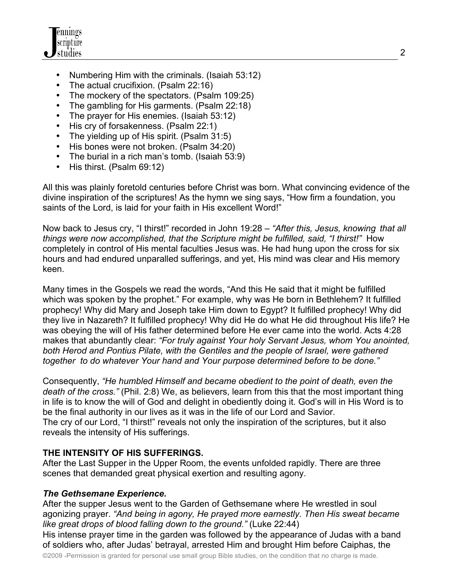

- Numbering Him with the criminals. (Isaiah 53:12)
- The actual crucifixion. (Psalm 22:16)
- The mockery of the spectators. (Psalm 109:25)
- The gambling for His garments. (Psalm 22:18)
- The prayer for His enemies. (Isaiah 53:12)
- His cry of forsakenness. (Psalm 22:1)
- The yielding up of His spirit. (Psalm 31:5)
- His bones were not broken. (Psalm 34:20)
- The burial in a rich man's tomb. (Isaiah 53:9)
- His thirst. (Psalm 69:12)

All this was plainly foretold centuries before Christ was born. What convincing evidence of the divine inspiration of the scriptures! As the hymn we sing says, "How firm a foundation, you saints of the Lord, is laid for your faith in His excellent Word!"

Now back to Jesus cry, "I thirst!" recorded in John 19:28 – *"After this, Jesus, knowing that all things were now accomplished, that the Scripture might be fulfilled, said, "I thirst!"* How completely in control of His mental faculties Jesus was. He had hung upon the cross for six hours and had endured unparalled sufferings, and yet, His mind was clear and His memory keen.

Many times in the Gospels we read the words, "And this He said that it might be fulfilled which was spoken by the prophet." For example, why was He born in Bethlehem? It fulfilled prophecy! Why did Mary and Joseph take Him down to Egypt? It fulfilled prophecy! Why did they live in Nazareth? It fulfilled prophecy! Why did He do what He did throughout His life? He was obeying the will of His father determined before He ever came into the world. Acts 4:28 makes that abundantly clear: *"For truly against Your holy Servant Jesus, whom You anointed, both Herod and Pontius Pilate, with the Gentiles and the people of Israel, were gathered together to do whatever Your hand and Your purpose determined before to be done."*

Consequently, *"He humbled Himself and became obedient to the point of death, even the death of the cross."* (Phil. 2:8) We, as believers, learn from this that the most important thing in life is to know the will of God and delight in obediently doing it. God's will in His Word is to be the final authority in our lives as it was in the life of our Lord and Savior. The cry of our Lord, "I thirst!" reveals not only the inspiration of the scriptures, but it also reveals the intensity of His sufferings.

## **THE INTENSITY OF HIS SUFFERINGS.**

After the Last Supper in the Upper Room, the events unfolded rapidly. There are three scenes that demanded great physical exertion and resulting agony.

## *The Gethsemane Experience.*

After the supper Jesus went to the Garden of Gethsemane where He wrestled in soul agonizing prayer. *"And being in agony, He prayed more earnestly. Then His sweat became like great drops of blood falling down to the ground."* (Luke 22:44)

His intense prayer time in the garden was followed by the appearance of Judas with a band of soldiers who, after Judas' betrayal, arrested Him and brought Him before Caiphas, the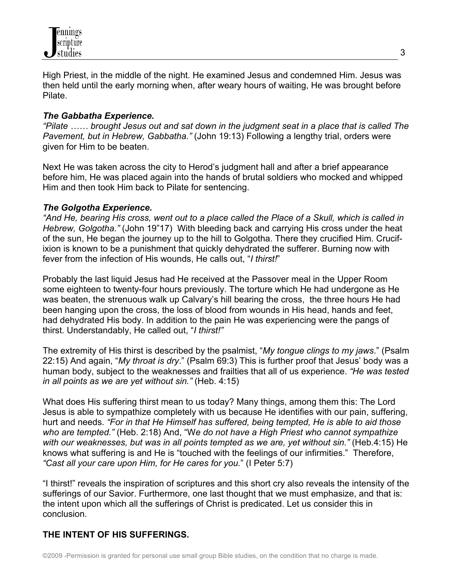

High Priest, in the middle of the night. He examined Jesus and condemned Him. Jesus was then held until the early morning when, after weary hours of waiting, He was brought before Pilate.

## *The Gabbatha Experience.*

*"Pilate …… brought Jesus out and sat down in the judgment seat in a place that is called The Pavement, but in Hebrew, Gabbatha."* (John 19:13) Following a lengthy trial, orders were given for Him to be beaten.

Next He was taken across the city to Herod's judgment hall and after a brief appearance before him, He was placed again into the hands of brutal soldiers who mocked and whipped Him and then took Him back to Pilate for sentencing.

## *The Golgotha Experience.*

*"And He, bearing His cross, went out to a place called the Place of a Skull, which is called in Hebrew, Golgotha."* (John 19"17)With bleeding back and carrying His cross under the heat of the sun, He began the journey up to the hill to Golgotha. There they crucified Him. Crucifixion is known to be a punishment that quickly dehydrated the sufferer. Burning now with fever from the infection of His wounds, He calls out, "*I thirst!*"

Probably the last liquid Jesus had He received at the Passover meal in the Upper Room some eighteen to twenty-four hours previously. The torture which He had undergone as He was beaten, the strenuous walk up Calvary's hill bearing the cross, the three hours He had been hanging upon the cross, the loss of blood from wounds in His head, hands and feet, had dehydrated His body. In addition to the pain He was experiencing were the pangs of thirst. Understandably, He called out, "*I thirst!"* 

The extremity of His thirst is described by the psalmist, "*My tongue clings to my jaws*." (Psalm 22:15) And again, "*My throat is dry*." (Psalm 69:3) This is further proof that Jesus' body was a human body, subject to the weaknesses and frailties that all of us experience. *"He was tested in all points as we are yet without sin."* (Heb. 4:15)

What does His suffering thirst mean to us today? Many things, among them this: The Lord Jesus is able to sympathize completely with us because He identifies with our pain, suffering, hurt and needs. *"For in that He Himself has suffered, being tempted, He is able to aid those who are tempted."* (Heb. 2:18) And, "W*e do not have a High Priest who cannot sympathize with our weaknesses, but was in all points tempted as we are, yet without sin."* (Heb.4:15) He knows what suffering is and He is "touched with the feelings of our infirmities." Therefore, *"Cast all your care upon Him, for He cares for you.*" (I Peter 5:7)

"I thirst!" reveals the inspiration of scriptures and this short cry also reveals the intensity of the sufferings of our Savior. Furthermore, one last thought that we must emphasize, and that is: the intent upon which all the sufferings of Christ is predicated. Let us consider this in conclusion.

## **THE INTENT OF HIS SUFFERINGS.**